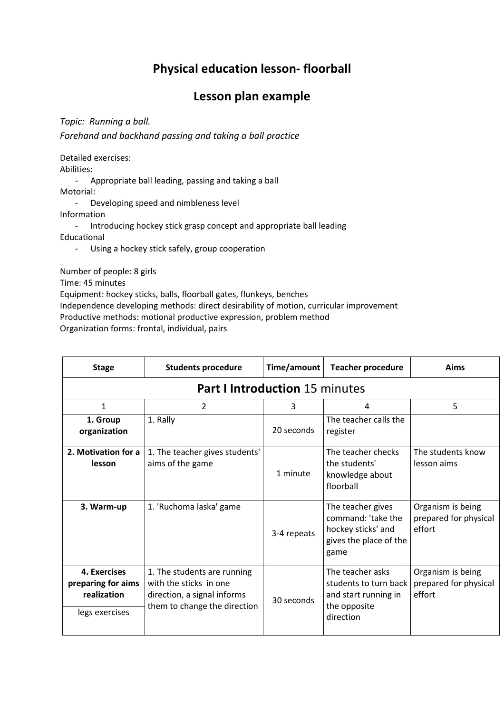## **Physical education lesson- floorball**

## **Lesson plan example**

*Topic: Running a ball.* 

*Forehand and backhand passing and taking a ball practice* 

Detailed exercises:

Abilities:

- Appropriate ball leading, passing and taking a ball

Motorial:

- Developing speed and nimbleness level

Information

- Introducing hockey stick grasp concept and appropriate ball leading Educational

- Using a hockey stick safely, group cooperation

Number of people: 8 girls

Time: 45 minutes

Equipment: hockey sticks, balls, floorball gates, flunkeys, benches

Independence developing methods: direct desirability of motion, curricular improvement

Productive methods: motional productive expression, problem method

Organization forms: frontal, individual, pairs

| <b>Stage</b>                                                        | <b>Students procedure</b>                                                                                            | Time/amount | <b>Teacher procedure</b>                                                                        | Aims                                                 |  |
|---------------------------------------------------------------------|----------------------------------------------------------------------------------------------------------------------|-------------|-------------------------------------------------------------------------------------------------|------------------------------------------------------|--|
| <b>Part I Introduction 15 minutes</b>                               |                                                                                                                      |             |                                                                                                 |                                                      |  |
| 1                                                                   | 2                                                                                                                    | 3           | 4                                                                                               | 5                                                    |  |
| 1. Group<br>organization                                            | 1. Rally                                                                                                             | 20 seconds  | The teacher calls the<br>register                                                               |                                                      |  |
| 2. Motivation for a<br>lesson                                       | 1. The teacher gives students'<br>aims of the game                                                                   | 1 minute    | The teacher checks<br>the students'<br>knowledge about<br>floorball                             | The students know<br>lesson aims                     |  |
| 3. Warm-up                                                          | 1. 'Ruchoma laska' game                                                                                              | 3-4 repeats | The teacher gives<br>command: 'take the<br>hockey sticks' and<br>gives the place of the<br>game | Organism is being<br>prepared for physical<br>effort |  |
| 4. Exercises<br>preparing for aims<br>realization<br>legs exercises | 1. The students are running<br>with the sticks in one<br>direction, a signal informs<br>them to change the direction | 30 seconds  | The teacher asks<br>students to turn back<br>and start running in<br>the opposite<br>direction  | Organism is being<br>prepared for physical<br>effort |  |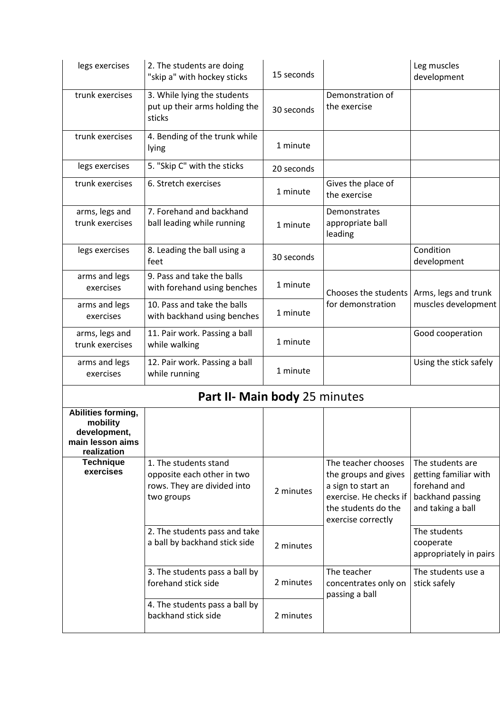| legs exercises                                                                    | 2. The students are doing<br>"skip a" with hockey sticks                                         | 15 seconds |                                                                                                                                          | Leg muscles<br>development                                                                         |  |
|-----------------------------------------------------------------------------------|--------------------------------------------------------------------------------------------------|------------|------------------------------------------------------------------------------------------------------------------------------------------|----------------------------------------------------------------------------------------------------|--|
| trunk exercises                                                                   | 3. While lying the students<br>put up their arms holding the<br>sticks                           | 30 seconds | Demonstration of<br>the exercise                                                                                                         |                                                                                                    |  |
| trunk exercises                                                                   | 4. Bending of the trunk while<br>lying                                                           | 1 minute   |                                                                                                                                          |                                                                                                    |  |
| legs exercises                                                                    | 5. "Skip C" with the sticks                                                                      | 20 seconds |                                                                                                                                          |                                                                                                    |  |
| trunk exercises                                                                   | 6. Stretch exercises                                                                             | 1 minute   | Gives the place of<br>the exercise                                                                                                       |                                                                                                    |  |
| arms, legs and<br>trunk exercises                                                 | 7. Forehand and backhand<br>ball leading while running                                           | 1 minute   | Demonstrates<br>appropriate ball<br>leading                                                                                              |                                                                                                    |  |
| legs exercises                                                                    | 8. Leading the ball using a<br>feet                                                              | 30 seconds |                                                                                                                                          | Condition<br>development                                                                           |  |
| arms and legs<br>exercises                                                        | 9. Pass and take the balls<br>with forehand using benches                                        | 1 minute   | Chooses the students<br>for demonstration                                                                                                | Arms, legs and trunk<br>muscles development                                                        |  |
| arms and legs<br>exercises                                                        | 10. Pass and take the balls<br>with backhand using benches                                       | 1 minute   |                                                                                                                                          |                                                                                                    |  |
| arms, legs and<br>trunk exercises                                                 | 11. Pair work. Passing a ball<br>while walking                                                   | 1 minute   |                                                                                                                                          | Good cooperation                                                                                   |  |
| arms and legs<br>exercises                                                        | 12. Pair work. Passing a ball<br>while running                                                   | 1 minute   |                                                                                                                                          | Using the stick safely                                                                             |  |
| Part II- Main body 25 minutes                                                     |                                                                                                  |            |                                                                                                                                          |                                                                                                    |  |
| Abilities forming,<br>mobility<br>development,<br>main lesson aims<br>realization |                                                                                                  |            |                                                                                                                                          |                                                                                                    |  |
| <b>Technique</b><br>exercises                                                     | 1. The students stand<br>opposite each other in two<br>rows. They are divided into<br>two groups | 2 minutes  | The teacher chooses<br>the groups and gives<br>a sign to start an<br>exercise. He checks if<br>the students do the<br>exercise correctly | The students are<br>getting familiar with<br>forehand and<br>backhand passing<br>and taking a ball |  |
|                                                                                   | 2. The students pass and take<br>a ball by backhand stick side                                   | 2 minutes  |                                                                                                                                          | The students<br>cooperate<br>appropriately in pairs                                                |  |
|                                                                                   | 3. The students pass a ball by<br>forehand stick side                                            | 2 minutes  | The teacher<br>concentrates only on<br>passing a ball                                                                                    | The students use a<br>stick safely                                                                 |  |
|                                                                                   | 4. The students pass a ball by<br>backhand stick side                                            | 2 minutes  |                                                                                                                                          |                                                                                                    |  |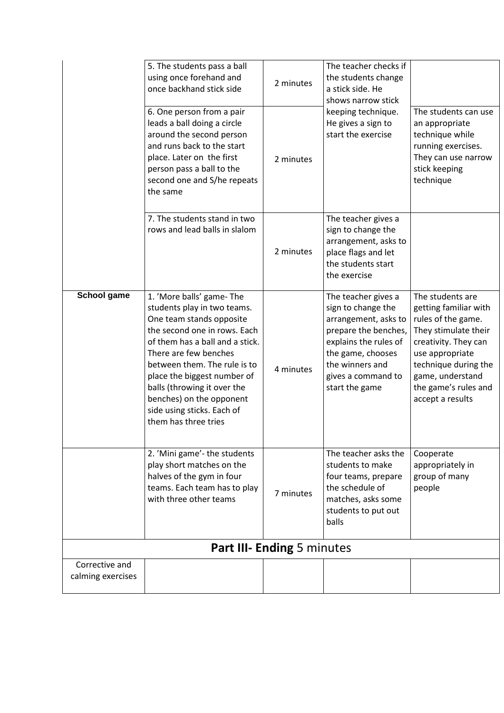|                                     | 5. The students pass a ball<br>using once forehand and<br>once backhand stick side                                                                                                                                                                                                                                                                              | 2 minutes | The teacher checks if<br>the students change<br>a stick side. He<br>shows narrow stick                                                                                                             |                                                                                                                                                                                                                            |
|-------------------------------------|-----------------------------------------------------------------------------------------------------------------------------------------------------------------------------------------------------------------------------------------------------------------------------------------------------------------------------------------------------------------|-----------|----------------------------------------------------------------------------------------------------------------------------------------------------------------------------------------------------|----------------------------------------------------------------------------------------------------------------------------------------------------------------------------------------------------------------------------|
|                                     | 6. One person from a pair<br>leads a ball doing a circle<br>around the second person<br>and runs back to the start<br>place. Later on the first<br>person pass a ball to the<br>second one and S/he repeats<br>the same                                                                                                                                         | 2 minutes | keeping technique.<br>He gives a sign to<br>start the exercise                                                                                                                                     | The students can use<br>an appropriate<br>technique while<br>running exercises.<br>They can use narrow<br>stick keeping<br>technique                                                                                       |
|                                     | 7. The students stand in two<br>rows and lead balls in slalom                                                                                                                                                                                                                                                                                                   | 2 minutes | The teacher gives a<br>sign to change the<br>arrangement, asks to<br>place flags and let<br>the students start<br>the exercise                                                                     |                                                                                                                                                                                                                            |
| School game                         | 1. 'More balls' game-The<br>students play in two teams.<br>One team stands opposite<br>the second one in rows. Each<br>of them has a ball and a stick.<br>There are few benches<br>between them. The rule is to<br>place the biggest number of<br>balls (throwing it over the<br>benches) on the opponent<br>side using sticks. Each of<br>them has three tries | 4 minutes | The teacher gives a<br>sign to change the<br>arrangement, asks to<br>prepare the benches,<br>explains the rules of<br>the game, chooses<br>the winners and<br>gives a command to<br>start the game | The students are<br>getting familiar with<br>rules of the game.<br>They stimulate their<br>creativity. They can<br>use appropriate<br>technique during the<br>game, understand<br>the game's rules and<br>accept a results |
|                                     | 2. 'Mini game'- the students<br>play short matches on the<br>halves of the gym in four<br>teams. Each team has to play<br>with three other teams                                                                                                                                                                                                                | 7 minutes | The teacher asks the<br>students to make<br>four teams, prepare<br>the schedule of<br>matches, asks some<br>students to put out<br>balls                                                           | Cooperate<br>appropriately in<br>group of many<br>people                                                                                                                                                                   |
| <b>Part III- Ending 5 minutes</b>   |                                                                                                                                                                                                                                                                                                                                                                 |           |                                                                                                                                                                                                    |                                                                                                                                                                                                                            |
| Corrective and<br>calming exercises |                                                                                                                                                                                                                                                                                                                                                                 |           |                                                                                                                                                                                                    |                                                                                                                                                                                                                            |